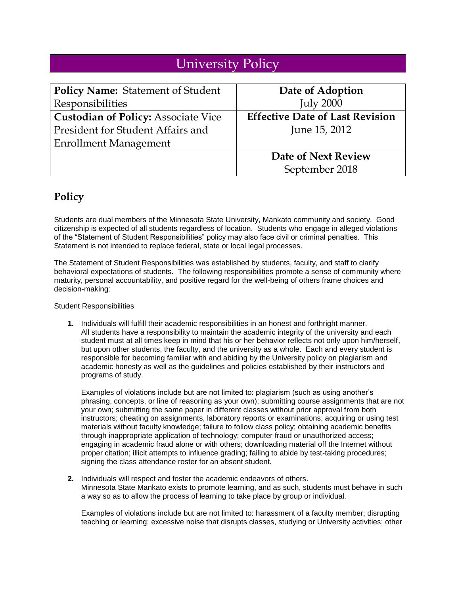## University Policy

| <b>Policy Name: Statement of Student</b>   | Date of Adoption                       |
|--------------------------------------------|----------------------------------------|
| Responsibilities                           | <b>July 2000</b>                       |
| <b>Custodian of Policy: Associate Vice</b> | <b>Effective Date of Last Revision</b> |
| President for Student Affairs and          | June 15, 2012                          |
| <b>Enrollment Management</b>               |                                        |
|                                            | Date of Next Review                    |
|                                            | September 2018                         |

## **Policy**

Students are dual members of the Minnesota State University, Mankato community and society. Good citizenship is expected of all students regardless of location. Students who engage in alleged violations of the "Statement of Student Responsibilities" policy may also face civil or criminal penalties. This Statement is not intended to replace federal, state or local legal processes.

The Statement of Student Responsibilities was established by students, faculty, and staff to clarify behavioral expectations of students. The following responsibilities promote a sense of community where maturity, personal accountability, and positive regard for the well-being of others frame choices and decision-making:

Student Responsibilities

**1.** Individuals will fulfill their academic responsibilities in an honest and forthright manner. All students have a responsibility to maintain the academic integrity of the university and each student must at all times keep in mind that his or her behavior reflects not only upon him/herself, but upon other students, the faculty, and the university as a whole. Each and every student is responsible for becoming familiar with and abiding by the University policy on plagiarism and academic honesty as well as the guidelines and policies established by their instructors and programs of study.

Examples of violations include but are not limited to: plagiarism (such as using another's phrasing, concepts, or line of reasoning as your own); submitting course assignments that are not your own; submitting the same paper in different classes without prior approval from both instructors; cheating on assignments, laboratory reports or examinations; acquiring or using test materials without faculty knowledge; failure to follow class policy; obtaining academic benefits through inappropriate application of technology; computer fraud or unauthorized access; engaging in academic fraud alone or with others; downloading material off the Internet without proper citation; illicit attempts to influence grading; failing to abide by test-taking procedures; signing the class attendance roster for an absent student.

**2.** Individuals will respect and foster the academic endeavors of others. Minnesota State Mankato exists to promote learning, and as such, students must behave in such a way so as to allow the process of learning to take place by group or individual.

Examples of violations include but are not limited to: harassment of a faculty member; disrupting teaching or learning; excessive noise that disrupts classes, studying or University activities; other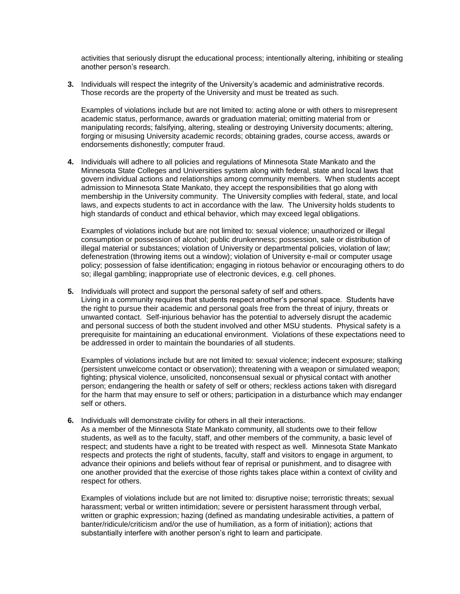activities that seriously disrupt the educational process; intentionally altering, inhibiting or stealing another person's research.

**3.** Individuals will respect the integrity of the University's academic and administrative records. Those records are the property of the University and must be treated as such.

Examples of violations include but are not limited to: acting alone or with others to misrepresent academic status, performance, awards or graduation material; omitting material from or manipulating records; falsifying, altering, stealing or destroying University documents; altering, forging or misusing University academic records; obtaining grades, course access, awards or endorsements dishonestly; computer fraud.

**4.** Individuals will adhere to all policies and regulations of Minnesota State Mankato and the Minnesota State Colleges and Universities system along with federal, state and local laws that govern individual actions and relationships among community members. When students accept admission to Minnesota State Mankato, they accept the responsibilities that go along with membership in the University community. The University complies with federal, state, and local laws, and expects students to act in accordance with the law. The University holds students to high standards of conduct and ethical behavior, which may exceed legal obligations.

Examples of violations include but are not limited to: sexual violence; unauthorized or illegal consumption or possession of alcohol; public drunkenness; possession, sale or distribution of illegal material or substances; violation of University or departmental policies, violation of law; defenestration (throwing items out a window); violation of University e-mail or computer usage policy; possession of false identification; engaging in riotous behavior or encouraging others to do so; illegal gambling; inappropriate use of electronic devices, e.g. cell phones.

**5.** Individuals will protect and support the personal safety of self and others.

Living in a community requires that students respect another's personal space. Students have the right to pursue their academic and personal goals free from the threat of injury, threats or unwanted contact. Self-injurious behavior has the potential to adversely disrupt the academic and personal success of both the student involved and other MSU students. Physical safety is a prerequisite for maintaining an educational environment. Violations of these expectations need to be addressed in order to maintain the boundaries of all students.

Examples of violations include but are not limited to: sexual violence; indecent exposure; stalking (persistent unwelcome contact or observation); threatening with a weapon or simulated weapon; fighting; physical violence, unsolicited, nonconsensual sexual or physical contact with another person; endangering the health or safety of self or others; reckless actions taken with disregard for the harm that may ensure to self or others; participation in a disturbance which may endanger self or others.

**6.** Individuals will demonstrate civility for others in all their interactions.

As a member of the Minnesota State Mankato community, all students owe to their fellow students, as well as to the faculty, staff, and other members of the community, a basic level of respect; and students have a right to be treated with respect as well. Minnesota State Mankato respects and protects the right of students, faculty, staff and visitors to engage in argument, to advance their opinions and beliefs without fear of reprisal or punishment, and to disagree with one another provided that the exercise of those rights takes place within a context of civility and respect for others.

Examples of violations include but are not limited to: disruptive noise; terroristic threats; sexual harassment; verbal or written intimidation; severe or persistent harassment through verbal, written or graphic expression; hazing (defined as mandating undesirable activities, a pattern of banter/ridicule/criticism and/or the use of humiliation, as a form of initiation); actions that substantially interfere with another person's right to learn and participate.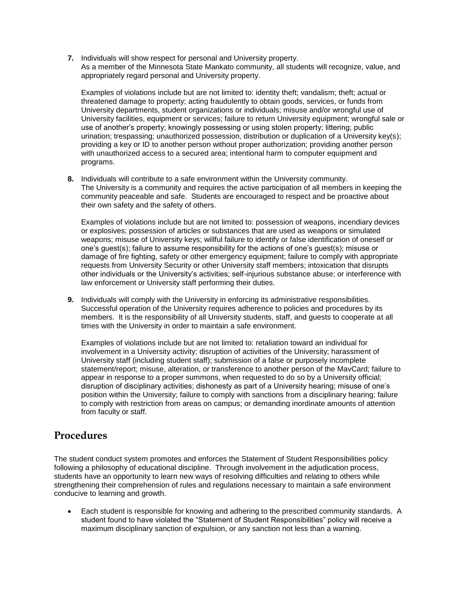**7.** Individuals will show respect for personal and University property. As a member of the Minnesota State Mankato community, all students will recognize, value, and appropriately regard personal and University property.

Examples of violations include but are not limited to: identity theft; vandalism; theft; actual or threatened damage to property; acting fraudulently to obtain goods, services, or funds from University departments, student organizations or individuals; misuse and/or wrongful use of University facilities, equipment or services; failure to return University equipment; wrongful sale or use of another's property; knowingly possessing or using stolen property; littering; public urination; trespassing; unauthorized possession, distribution or duplication of a University key(s); providing a key or ID to another person without proper authorization; providing another person with unauthorized access to a secured area; intentional harm to computer equipment and programs.

**8.** Individuals will contribute to a safe environment within the University community. The University is a community and requires the active participation of all members in keeping the community peaceable and safe. Students are encouraged to respect and be proactive about their own safety and the safety of others.

Examples of violations include but are not limited to: possession of weapons, incendiary devices or explosives; possession of articles or substances that are used as weapons or simulated weapons; misuse of University keys; willful failure to identify or false identification of oneself or one's guest(s); failure to assume responsibility for the actions of one's guest(s); misuse or damage of fire fighting, safety or other emergency equipment; failure to comply with appropriate requests from University Security or other University staff members; intoxication that disrupts other individuals or the University's activities; self-injurious substance abuse; or interference with law enforcement or University staff performing their duties.

**9.** Individuals will comply with the University in enforcing its administrative responsibilities. Successful operation of the University requires adherence to policies and procedures by its members. It is the responsibility of all University students, staff, and guests to cooperate at all times with the University in order to maintain a safe environment.

Examples of violations include but are not limited to: retaliation toward an individual for involvement in a University activity; disruption of activities of the University; harassment of University staff (including student staff); submission of a false or purposely incomplete statement/report; misuse, alteration, or transference to another person of the MavCard; failure to appear in response to a proper summons, when requested to do so by a University official; disruption of disciplinary activities; dishonesty as part of a University hearing; misuse of one's position within the University; failure to comply with sanctions from a disciplinary hearing; failure to comply with restriction from areas on campus; or demanding inordinate amounts of attention from faculty or staff.

## **Procedures**

The student conduct system promotes and enforces the Statement of Student Responsibilities policy following a philosophy of educational discipline. Through involvement in the adjudication process, students have an opportunity to learn new ways of resolving difficulties and relating to others while strengthening their comprehension of rules and regulations necessary to maintain a safe environment conducive to learning and growth.

 Each student is responsible for knowing and adhering to the prescribed community standards. A student found to have violated the "Statement of Student Responsibilities" policy will receive a maximum disciplinary sanction of expulsion, or any sanction not less than a warning.